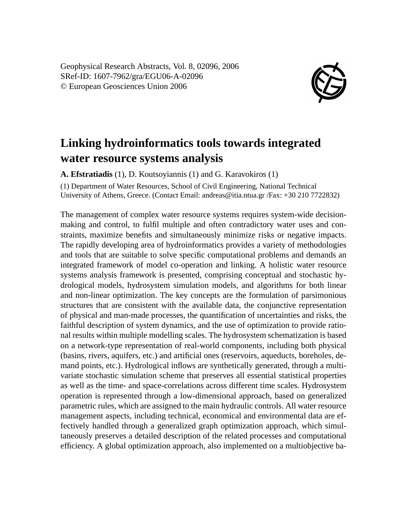Geophysical Research Abstracts, Vol. 8, 02096, 2006 SRef-ID: 1607-7962/gra/EGU06-A-02096 © European Geosciences Union 2006



## **Linking hydroinformatics tools towards integrated water resource systems analysis**

**A. Efstratiadis** (1), D. Koutsoyiannis (1) and G. Karavokiros (1)

(1) Department of Water Resources, School of Civil Engineering, National Technical University of Athens, Greece. (Contact Email: andreas@itia.ntua.gr /Fax: +30 210 7722832)

The management of complex water resource systems requires system-wide decisionmaking and control, to fulfil multiple and often contradictory water uses and constraints, maximize benefits and simultaneously minimize risks or negative impacts. The rapidly developing area of hydroinformatics provides a variety of methodologies and tools that are suitable to solve specific computational problems and demands an integrated framework of model co-operation and linking. A holistic water resource systems analysis framework is presented, comprising conceptual and stochastic hydrological models, hydrosystem simulation models, and algorithms for both linear and non-linear optimization. The key concepts are the formulation of parsimonious structures that are consistent with the available data, the conjunctive representation of physical and man-made processes, the quantification of uncertainties and risks, the faithful description of system dynamics, and the use of optimization to provide rational results within multiple modelling scales. The hydrosystem schematization is based on a network-type representation of real-world components, including both physical (basins, rivers, aquifers, etc.) and artificial ones (reservoirs, aqueducts, boreholes, demand points, etc.). Hydrological inflows are synthetically generated, through a multivariate stochastic simulation scheme that preserves all essential statistical properties as well as the time- and space-correlations across different time scales. Hydrosystem operation is represented through a low-dimensional approach, based on generalized parametric rules, which are assigned to the main hydraulic controls. All water resource management aspects, including technical, economical and environmental data are effectively handled through a generalized graph optimization approach, which simultaneously preserves a detailed description of the related processes and computational efficiency. A global optimization approach, also implemented on a multiobjective ba